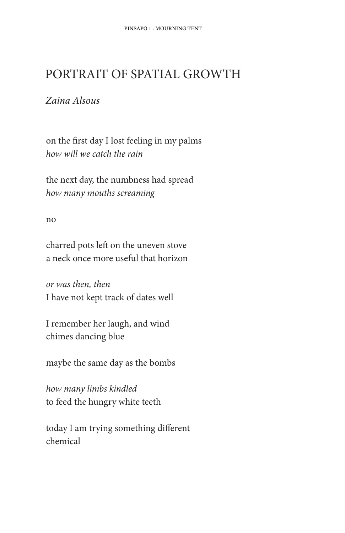## PORTRAIT OF SPATIAL GROWTH

## Zaina Alsous

on the first day I lost feeling in my palms how will we catch the rain

the next day, the numbness had spread how many mouths screaming

 $no$ 

charred pots left on the uneven stove a neck once more useful that horizon

or was then, then I have not kept track of dates well

I remember her laugh, and wind chimes dancing blue

maybe the same day as the bombs

how many limbs kindled to feed the hungry white teeth

today I am trying something different chemical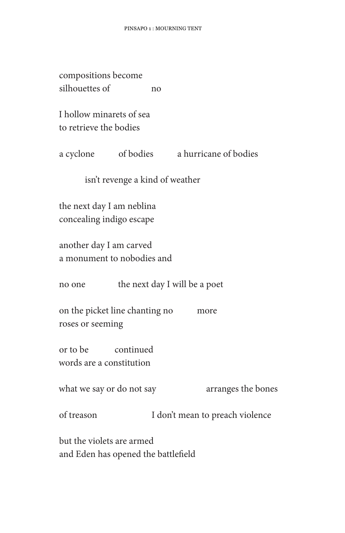compositions become silhouettes of no I hollow minarets of sea to retrieve the bodies of bodies a hurricane of bodies a cyclone isn't revenge a kind of weather the next day I am neblina concealing indigo escape another day I am carved a monument to nobodies and the next day I will be a poet no one on the picket line chanting no more roses or seeming or to be continued words are a constitution what we say or do not say arranges the bones of treason I don't mean to preach violence but the violets are armed and Eden has opened the battlefield